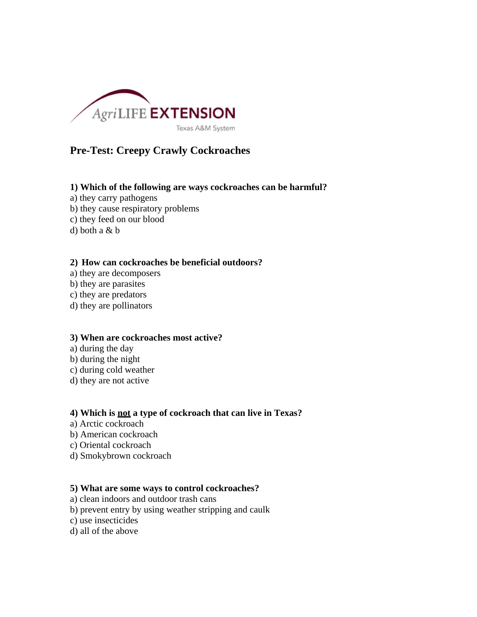

# **Pre-Test: Creepy Crawly Cockroaches**

# **1) Which of the following are ways cockroaches can be harmful?**

- a) they carry pathogens
- b) they cause respiratory problems
- c) they feed on our blood
- d) both a & b

#### **2) How can cockroaches be beneficial outdoors?**

- a) they are decomposers
- b) they are parasites
- c) they are predators
- d) they are pollinators

### **3) When are cockroaches most active?**

- a) during the day
- b) during the night
- c) during cold weather
- d) they are not active

### **4) Which is not a type of cockroach that can live in Texas?**

- a) Arctic cockroach
- b) American cockroach
- c) Oriental cockroach
- d) Smokybrown cockroach

# **5) What are some ways to control cockroaches?**

- a) clean indoors and outdoor trash cans
- b) prevent entry by using weather stripping and caulk
- c) use insecticides
- d) all of the above